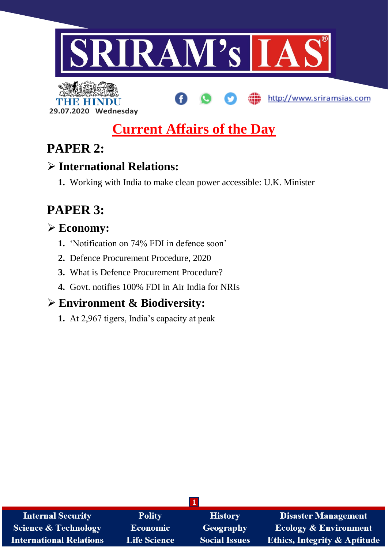



# **Current Affairs of the Day**

# **PAPER 2:**

# **International Relations:**

**1.** Working with India to make clean power accessible: U.K. Minister

# **PAPER 3:**

# **Economy:**

- **1.** 'Notification on 74% FDI in defence soon'
- **2.** Defence Procurement Procedure, 2020
- **3.** What is Defence Procurement Procedure?
- **4.** Govt. notifies 100% FDI in Air India for NRIs

# **Environment & Biodiversity:**

**1.** At 2,967 tigers, India's capacity at peak

| <b>Internal Security</b>        | <b>Polity</b>       | <b>History</b>       | <b>Disaster Management</b>              |
|---------------------------------|---------------------|----------------------|-----------------------------------------|
| <b>Science &amp; Technology</b> | Economic            | Geography            | <b>Ecology &amp; Environment</b>        |
| <b>International Relations</b>  | <b>Life Science</b> | <b>Social Issues</b> | <b>Ethics, Integrity &amp; Aptitude</b> |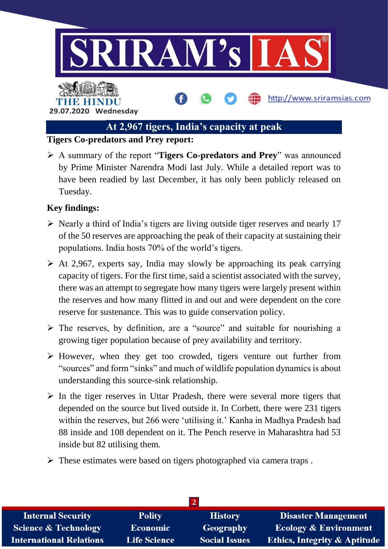

# **At 2,967 tigers, India's capacity at peak**

### **Tigers Co-predators and Prey report:**

 A summary of the report "**Tigers Co-predators and Prey**" was announced by Prime Minister Narendra Modi last July. While a detailed report was to have been readied by last December, it has only been publicly released on Tuesday.

### **Key findings:**

- $\triangleright$  Nearly a third of India's tigers are living outside tiger reserves and nearly 17 of the 50 reserves are approaching the peak of their capacity at sustaining their populations. India hosts 70% of the world's tigers.
- $\triangleright$  At 2,967, experts say, India may slowly be approaching its peak carrying capacity of tigers. For the first time, said a scientist associated with the survey, there was an attempt to segregate how many tigers were largely present within the reserves and how many flitted in and out and were dependent on the core reserve for sustenance. This was to guide conservation policy.
- $\triangleright$  The reserves, by definition, are a "source" and suitable for nourishing a growing tiger population because of prey availability and territory.
- $\triangleright$  However, when they get too crowded, tigers venture out further from "sources" and form "sinks" and much of wildlife population dynamics is about understanding this source-sink relationship.
- $\triangleright$  In the tiger reserves in Uttar Pradesh, there were several more tigers that depended on the source but lived outside it. In Corbett, there were 231 tigers within the reserves, but 266 were 'utilising it.' Kanha in Madhya Pradesh had 88 inside and 108 dependent on it. The Pench reserve in Maharashtra had 53 inside but 82 utilising them.
- $\triangleright$  These estimates were based on tigers photographed via camera traps.

| <b>Internal Security</b>        | <b>Polity</b>       | <b>History</b>       | <b>Disaster Management</b>              |  |
|---------------------------------|---------------------|----------------------|-----------------------------------------|--|
| <b>Science &amp; Technology</b> | <b>Economic</b>     | Geography            | <b>Ecology &amp; Environment</b>        |  |
| <b>International Relations</b>  | <b>Life Science</b> | <b>Social Issues</b> | <b>Ethics, Integrity &amp; Aptitude</b> |  |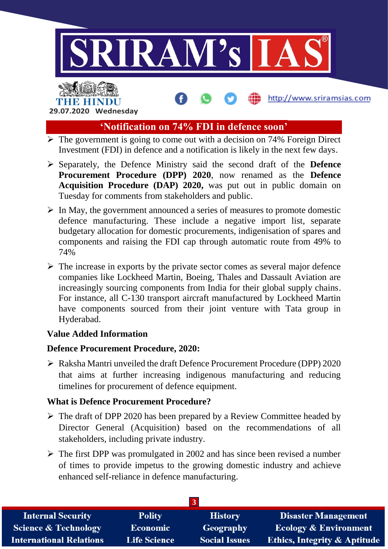

# THE HINDL **29.07.2020 Wednesday**

# **'Notification on 74% FDI in defence soon'**

- $\triangleright$  The government is going to come out with a decision on 74% Foreign Direct Investment (FDI) in defence and a notification is likely in the next few days.
- Separately, the Defence Ministry said the second draft of the **Defence Procurement Procedure (DPP) 2020**, now renamed as the **Defence Acquisition Procedure (DAP) 2020,** was put out in public domain on Tuesday for comments from stakeholders and public.
- $\triangleright$  In May, the government announced a series of measures to promote domestic defence manufacturing. These include a negative import list, separate budgetary allocation for domestic procurements, indigenisation of spares and components and raising the FDI cap through automatic route from 49% to 74%
- $\triangleright$  The increase in exports by the private sector comes as several major defence companies like Lockheed Martin, Boeing, Thales and Dassault Aviation are increasingly sourcing components from India for their global supply chains. For instance, all C-130 transport aircraft manufactured by Lockheed Martin have components sourced from their joint venture with Tata group in Hyderabad.

# **Value Added Information**

# **Defence Procurement Procedure, 2020:**

 Raksha Mantri unveiled the draft Defence Procurement Procedure (DPP) 2020 that aims at further increasing indigenous manufacturing and reducing timelines for procurement of defence equipment.

# **What is Defence Procurement Procedure?**

- $\triangleright$  The draft of DPP 2020 has been prepared by a Review Committee headed by Director General (Acquisition) based on the recommendations of all stakeholders, including private industry.
- $\triangleright$  The first DPP was promulgated in 2002 and has since been revised a number of times to provide impetus to the growing domestic industry and achieve enhanced self-reliance in defence manufacturing.

| <b>Internal Security</b>        | <b>Polity</b>       | <b>History</b>       | <b>Disaster Management</b>              |  |
|---------------------------------|---------------------|----------------------|-----------------------------------------|--|
| <b>Science &amp; Technology</b> | <b>Economic</b>     | Geography            | <b>Ecology &amp; Environment</b>        |  |
| <b>International Relations</b>  | <b>Life Science</b> | <b>Social Issues</b> | <b>Ethics, Integrity &amp; Aptitude</b> |  |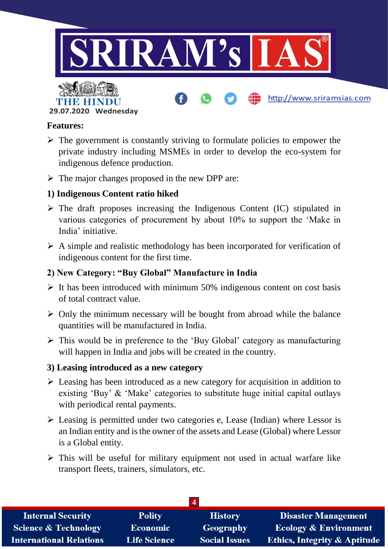

**29.07.2020 Wednesday**

#### **Features:**

- $\triangleright$  The government is constantly striving to formulate policies to empower the private industry including MSMEs in order to develop the eco-system for indigenous defence production.
- $\triangleright$  The major changes proposed in the new DPP are:

# **1) Indigenous Content ratio hiked**

- $\triangleright$  The draft proposes increasing the Indigenous Content (IC) stipulated in various categories of procurement by about 10% to support the 'Make in India' initiative.
- $\triangleright$  A simple and realistic methodology has been incorporated for verification of indigenous content for the first time.

# **2) New Category: "Buy Global" Manufacture in India**

- $\triangleright$  It has been introduced with minimum 50% indigenous content on cost basis of total contract value.
- $\triangleright$  Only the minimum necessary will be bought from abroad while the balance quantities will be manufactured in India.
- $\triangleright$  This would be in preference to the 'Buy Global' category as manufacturing will happen in India and jobs will be created in the country.

#### **3) Leasing introduced as a new category**

- $\triangleright$  Leasing has been introduced as a new category for acquisition in addition to existing 'Buy' & 'Make' categories to substitute huge initial capital outlays with periodical rental payments.
- $\triangleright$  Leasing is permitted under two categories e, Lease (Indian) where Lessor is an Indian entity and is the owner of the assets and Lease (Global) where Lessor is a Global entity.
- $\triangleright$  This will be useful for military equipment not used in actual warfare like transport fleets, trainers, simulators, etc.

| <b>Internal Security</b>        | <b>Polity</b>       | <b>History</b>       | <b>Disaster Management</b>              |  |
|---------------------------------|---------------------|----------------------|-----------------------------------------|--|
| <b>Science &amp; Technology</b> | <b>Economic</b>     | Geography            | <b>Ecology &amp; Environment</b>        |  |
| <b>International Relations</b>  | <b>Life Science</b> | <b>Social Issues</b> | <b>Ethics, Integrity &amp; Aptitude</b> |  |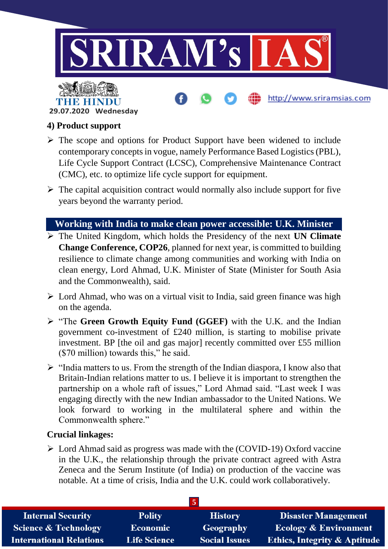

# THE HIN **29.07.2020 Wednesday**

# **4) Product support**

- $\triangleright$  The scope and options for Product Support have been widened to include contemporary concepts in vogue, namely Performance Based Logistics (PBL), Life Cycle Support Contract (LCSC), Comprehensive Maintenance Contract (CMC), etc. to optimize life cycle support for equipment.
- $\triangleright$  The capital acquisition contract would normally also include support for five years beyond the warranty period.

# **Working with India to make clean power accessible: U.K. Minister**

- The United Kingdom, which holds the Presidency of the next **UN Climate Change Conference, COP26**, planned for next year, is committed to building resilience to climate change among communities and working with India on clean energy, Lord Ahmad, U.K. Minister of State (Minister for South Asia and the Commonwealth), said.
- $\triangleright$  Lord Ahmad, who was on a virtual visit to India, said green finance was high on the agenda.
- "The **Green Growth Equity Fund (GGEF)** with the U.K. and the Indian government co-investment of £240 million, is starting to mobilise private investment. BP [the oil and gas major] recently committed over £55 million (\$70 million) towards this," he said.
- $\triangleright$  "India matters to us. From the strength of the Indian diaspora, I know also that Britain-Indian relations matter to us. I believe it is important to strengthen the partnership on a whole raft of issues," Lord Ahmad said. "Last week I was engaging directly with the new Indian ambassador to the United Nations. We look forward to working in the multilateral sphere and within the Commonwealth sphere."

# **Crucial linkages:**

 Lord Ahmad said as progress was made with the (COVID-19) Oxford vaccine in the U.K., the relationship through the private contract agreed with Astra Zeneca and the Serum Institute (of India) on production of the vaccine was notable. At a time of crisis, India and the U.K. could work collaboratively.

| <b>Internal Security</b>        | <b>Polity</b>       | <b>History</b>       | <b>Disaster Management</b>              |
|---------------------------------|---------------------|----------------------|-----------------------------------------|
| <b>Science &amp; Technology</b> | <b>Economic</b>     | Geography            | <b>Ecology &amp; Environment</b>        |
| <b>International Relations</b>  | <b>Life Science</b> | <b>Social Issues</b> | <b>Ethics, Integrity &amp; Aptitude</b> |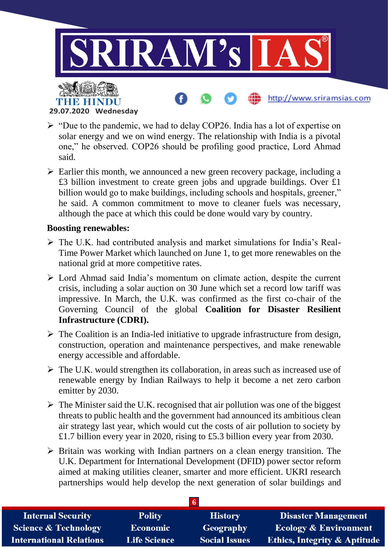

- **29.07.2020 Wednesday**
- $\triangleright$  "Due to the pandemic, we had to delay COP26. India has a lot of expertise on solar energy and we on wind energy. The relationship with India is a pivotal one," he observed. COP26 should be profiling good practice, Lord Ahmad said.
- $\triangleright$  Earlier this month, we announced a new green recovery package, including a £3 billion investment to create green jobs and upgrade buildings. Over £1 billion would go to make buildings, including schools and hospitals, greener," he said. A common commitment to move to cleaner fuels was necessary, although the pace at which this could be done would vary by country.

#### **Boosting renewables:**

- The U.K. had contributed analysis and market simulations for India's Real-Time Power Market which launched on June 1, to get more renewables on the national grid at more competitive rates.
- $\triangleright$  Lord Ahmad said India's momentum on climate action, despite the current crisis, including a solar auction on 30 June which set a record low tariff was impressive. In March, the U.K. was confirmed as the first co-chair of the Governing Council of the global **Coalition for Disaster Resilient Infrastructure (CDRI).**
- $\triangleright$  The Coalition is an India-led initiative to upgrade infrastructure from design, construction, operation and maintenance perspectives, and make renewable energy accessible and affordable.
- $\triangleright$  The U.K. would strengthen its collaboration, in areas such as increased use of renewable energy by Indian Railways to help it become a net zero carbon emitter by 2030.
- $\triangleright$  The Minister said the U.K. recognised that air pollution was one of the biggest threats to public health and the government had announced its ambitious clean air strategy last year, which would cut the costs of air pollution to society by £1.7 billion every year in 2020, rising to £5.3 billion every year from 2030.
- $\triangleright$  Britain was working with Indian partners on a clean energy transition. The U.K. Department for International Development (DFID) power sector reform aimed at making utilities cleaner, smarter and more efficient. UKRI research partnerships would help develop the next generation of solar buildings and

| <b>Internal Security</b>        | <b>Polity</b>       | <b>History</b>       | <b>Disaster Management</b>              |
|---------------------------------|---------------------|----------------------|-----------------------------------------|
| <b>Science &amp; Technology</b> | <b>Economic</b>     | Geography            | <b>Ecology &amp; Environment</b>        |
| <b>International Relations</b>  | <b>Life Science</b> | <b>Social Issues</b> | <b>Ethics, Integrity &amp; Aptitude</b> |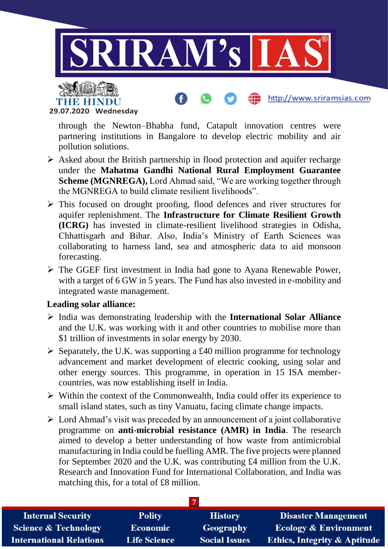



through the Newton–Bhabha fund, Catapult innovation centres were partnering institutions in Bangalore to develop electric mobility and air pollution solutions.

http://www.sriramsias.com

- $\triangleright$  Asked about the British partnership in flood protection and aquifer recharge under the **Mahatma Gandhi National Rural Employment Guarantee Scheme (MGNREGA),** Lord Ahmad said, "We are working together through the MGNREGA to build climate resilient livelihoods".
- $\triangleright$  This focused on drought proofing, flood defences and river structures for aquifer replenishment. The **Infrastructure for Climate Resilient Growth (ICRG)** has invested in climate-resilient livelihood strategies in Odisha, Chhattisgarh and Bihar. Also, India's Ministry of Earth Sciences was collaborating to harness land, sea and atmospheric data to aid monsoon forecasting.
- $\triangleright$  The GGEF first investment in India had gone to Ayana Renewable Power, with a target of 6 GW in 5 years. The Fund has also invested in e-mobility and integrated waste management.

#### **Leading solar alliance:**

- India was demonstrating leadership with the **International Solar Alliance**  and the U.K. was working with it and other countries to mobilise more than \$1 trillion of investments in solar energy by 2030.
- $\triangleright$  Separately, the U.K. was supporting a £40 million programme for technology advancement and market development of electric cooking, using solar and other energy sources. This programme, in operation in 15 ISA membercountries, was now establishing itself in India.
- $\triangleright$  Within the context of the Commonwealth, India could offer its experience to small island states, such as tiny Vanuatu, facing climate change impacts.
- $\triangleright$  Lord Ahmad's visit was preceded by an announcement of a joint collaborative programme on **anti-microbial resistance (AMR) in India**. The research aimed to develop a better understanding of how waste from antimicrobial manufacturing in India could be fuelling AMR. The five projects were planned for September 2020 and the U.K. was contributing £4 million from the U.K. Research and Innovation Fund for International Collaboration, and India was matching this, for a total of £8 million.

| <b>Internal Security</b>        | <b>Polity</b>       | <b>History</b>       | <b>Disaster Management</b>              |
|---------------------------------|---------------------|----------------------|-----------------------------------------|
| <b>Science &amp; Technology</b> | <b>Economic</b>     | Geography            | <b>Ecology &amp; Environment</b>        |
| <b>International Relations</b>  | <b>Life Science</b> | <b>Social Issues</b> | <b>Ethics, Integrity &amp; Aptitude</b> |